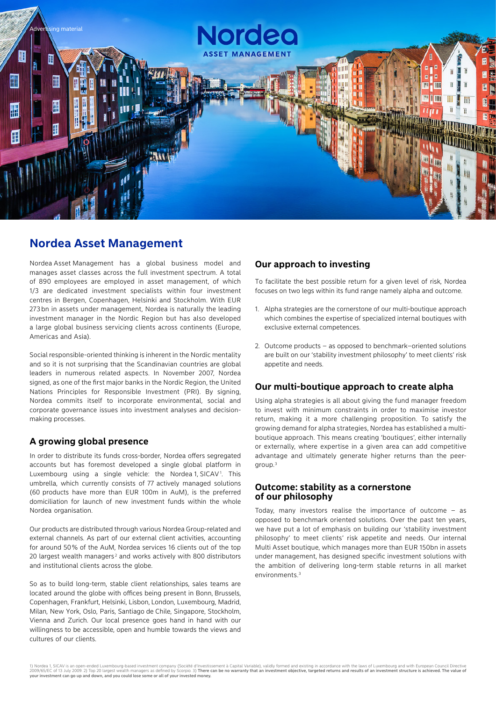

## **Nordea Asset Management**

Nordea Asset Management has a global business model and manages asset classes across the full investment spectrum. A total of 890 employees are employed in asset management, of which 1/3 are dedicated investment specialists within four investment centres in Bergen, Copenhagen, Helsinki and Stockholm. With EUR 273 bn in assets under management, Nordea is naturally the leading investment manager in the Nordic Region but has also developed a large global business servicing clients across continents (Europe, Americas and Asia).

Social responsible-oriented thinking is inherent in the Nordic mentality and so it is not surprising that the Scandinavian countries are global leaders in numerous related aspects. In November 2007, Nordea signed, as one of the first major banks in the Nordic Region, the United Nations Principles for Responsible Investment (PRI). By signing, Nordea commits itself to incorporate environmental, social and corporate governance issues into investment analyses and decisionmaking processes.

#### **A growing global presence**

In order to distribute its funds cross-border, Nordea offers segregated accounts but has foremost developed a single global platform in Luxembourg using a single vehicle: the Nordea 1, SICAV<sup>1</sup>. This umbrella, which currently consists of 77 actively managed solutions (60 products have more than EUR 100m in AuM), is the preferred domiciliation for launch of new investment funds within the whole Nordea organisation.

Our products are distributed through various Nordea Group-related and external channels. As part of our external client activities, accounting for around 50 % of the AuM, Nordea services 16 clients out of the top 20 largest wealth managers<sup>2</sup> and works actively with 800 distributors and institutional clients across the globe.

So as to build long-term, stable client relationships, sales teams are located around the globe with offices being present in Bonn, Brussels, Copenhagen, Frankfurt, Helsinki, Lisbon, London, Luxembourg, Madrid, Milan, New York, Oslo, Paris, Santiago de Chile, Singapore, Stockholm, Vienna and Zurich. Our local presence goes hand in hand with our willingness to be accessible, open and humble towards the views and cultures of our clients.

#### **Our approach to investing**

To facilitate the best possible return for a given level of risk, Nordea focuses on two legs within its fund range namely alpha and outcome.

- 1. Alpha strategies are the cornerstone of our multi-boutique approach which combines the expertise of specialized internal boutiques with exclusive external competences.
- 2. Outcome products as opposed to benchmark–oriented solutions are built on our 'stability investment philosophy' to meet clients' risk appetite and needs.

#### **Our multi-boutique approach to create alpha**

Using alpha strategies is all about giving the fund manager freedom to invest with minimum constraints in order to maximise investor return, making it a more challenging proposition. To satisfy the growing demand for alpha strategies, Nordea has established a multiboutique approach. This means creating 'boutiques', either internally or externally, where expertise in a given area can add competitive advantage and ultimately generate higher returns than the peergroup.3

#### **Outcome: stability as a cornerstone of our philosophy**

Today, many investors realise the importance of outcome – as opposed to benchmark oriented solutions. Over the past ten years, we have put a lot of emphasis on building our 'stability investment philosophy' to meet clients' risk appetite and needs. Our internal Multi Asset boutique, which manages more than EUR 150bn in assets under management, has designed specific investment solutions with the ambition of delivering long-term stable returns in all market environments.<sup>3</sup>

1) Nordea 1, SICAV is an open-ended Luxembourg-based investment company (Société d'Investissement à Capital Variable), validly formed and existing in accordance with the laws of Luxembourg and with European Council Directi your investment can go up and down, and you could lose some or all of your invested money.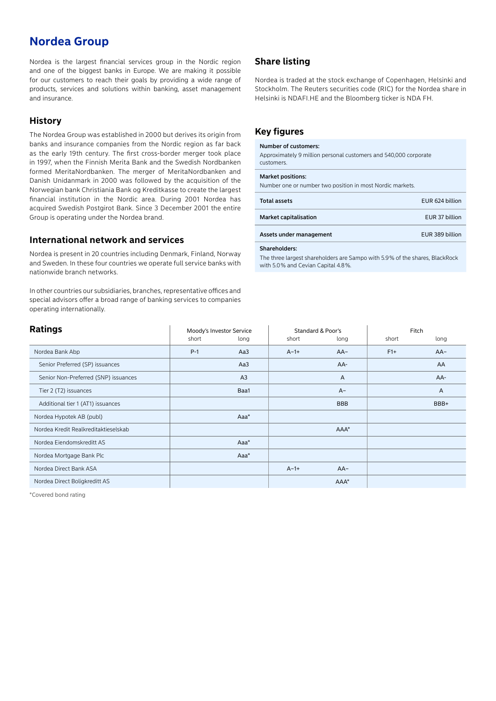# **Nordea Group**

Nordea is the largest financial services group in the Nordic region and one of the biggest banks in Europe. We are making it possible for our customers to reach their goals by providing a wide range of products, services and solutions within banking, asset management and insurance.

### **History**

The Nordea Group was established in 2000 but derives its origin from banks and insurance companies from the Nordic region as far back as the early 19th century. The first cross-border merger took place in 1997, when the Finnish Merita Bank and the Swedish Nordbanken formed MeritaNordbanken. The merger of MeritaNordbanken and Danish Unidanmark in 2000 was followed by the acquisition of the Norwegian bank Christiania Bank og Kreditkasse to create the largest financial institution in the Nordic area. During 2001 Nordea has acquired Swedish Postgirot Bank. Since 3 December 2001 the entire Group is operating under the Nordea brand.

#### **International network and services**

Nordea is present in 20 countries including Denmark, Finland, Norway and Sweden. In these four countries we operate full service banks with nationwide branch networks.

In other countries our subsidiaries, branches, representative offices and special advisors offer a broad range of banking services to companies operating internationally.

### **Share listing**

Nordea is traded at the stock exchange of Copenhagen, Helsinki and Stockholm. The Reuters securities code (RIC) for the Nordea share in Helsinki is NDAFI.HE and the Bloomberg ticker is NDA FH.

### **Key figures**

#### Number of customers:

Approximately 9 million personal customers and 540,000 corporate customers.

#### Market positions:

Number one or number two position in most Nordic markets.

| <b>Total assets</b>          | EUR 624 billion |
|------------------------------|-----------------|
| <b>Market capitalisation</b> | EUR 37 billion  |
| Assets under management      | EUR 389 billion |

#### Shareholders:

The three largest shareholders are Sampo with 5.9% of the shares, BlackRock with 5.0% and Cevian Capital 4.8%

| <b>Ratings</b>                       | Moody's Investor Service |                | Standard & Poor's |              | Fitch |       |
|--------------------------------------|--------------------------|----------------|-------------------|--------------|-------|-------|
|                                      | short                    | long           | short             | long         | short | long  |
| Nordea Bank Abp                      | $P-1$                    | Aa3            | $A-1+$            | $AA-$        | $F1+$ | $AA-$ |
| Senior Preferred (SP) issuances      |                          | Aa3            |                   | AA-          |       | AA    |
| Senior Non-Preferred (SNP) issuances |                          | A <sub>3</sub> |                   | $\mathsf{A}$ |       | AA-   |
| Tier 2 (T2) issuances                |                          | Baa1           |                   | $A -$        |       | Α     |
| Additional tier 1 (AT1) issuances    |                          |                |                   | <b>BBB</b>   |       | BBB+  |
| Nordea Hypotek AB (publ)             |                          | $Aaa^*$        |                   |              |       |       |
| Nordea Kredit Realkreditaktieselskab |                          |                |                   | $AAA^*$      |       |       |
| Nordea Eiendomskreditt AS            |                          | $Aaa^*$        |                   |              |       |       |
| Nordea Mortgage Bank Plc             |                          | Aaa*           |                   |              |       |       |
| Nordea Direct Bank ASA               |                          |                | $A-1+$            | $AA-$        |       |       |
| Nordea Direct Boligkreditt AS        |                          |                |                   | $AAA^*$      |       |       |

\*Covered bond rating